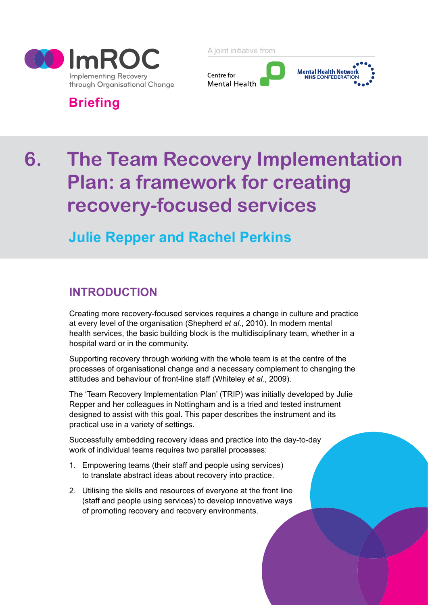

A joint initiative from



# **Briefing**

# **6. The Team Recovery Implementation Plan: a framework for creating recovery-focused services**

# **Julie Repper and Rachel Perkins**

## **INTRODUCTION**

Creating more recovery-focused services requires a change in culture and practice at every level of the organisation (Shepherd *et al.*, 2010). In modern mental health services, the basic building block is the multidisciplinary team, whether in a hospital ward or in the community.

Supporting recovery through working with the whole team is at the centre of the processes of organisational change and a necessary complement to changing the attitudes and behaviour of front-line staff (Whiteley *et al.*, 2009).

The 'Team Recovery Implementation Plan' (TRIP) was initially developed by Julie Repper and her colleagues in Nottingham and is a tried and tested instrument designed to assist with this goal. This paper describes the instrument and its practical use in a variety of settings.

Successfully embedding recovery ideas and practice into the day-to-day work of individual teams requires two parallel processes:

- 1. Empowering teams (their staff and people using services) to translate abstract ideas about recovery into practice.
- 2. Utilising the skills and resources of everyone at the front line (staff and people using services) to develop innovative ways of promoting recovery and recovery environments.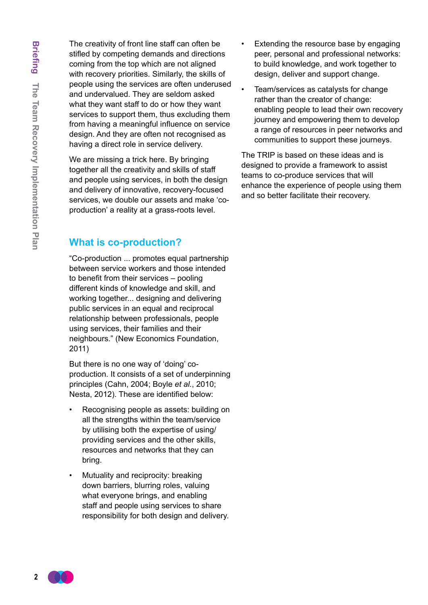The creativity of front line staff can often be stifled by competing demands and directions coming from the top which are not aligned with recovery priorities. Similarly, the skills of people using the services are often underused and undervalued. They are seldom asked what they want staff to do or how they want services to support them, thus excluding them from having a meaningful influence on service design. And they are often not recognised as having a direct role in service delivery.

We are missing a trick here. By bringing together all the creativity and skills of staff and people using services, in both the design and delivery of innovative, recovery-focused services, we double our assets and make 'coproduction' a reality at a grass-roots level.

#### **What is co-production?**

"Co-production ... promotes equal partnership between service workers and those intended to benefit from their services – pooling different kinds of knowledge and skill, and working together... designing and delivering public services in an equal and reciprocal relationship between professionals, people using services, their families and their neighbours." (New Economics Foundation, 2011)

But there is no one way of 'doing' coproduction. It consists of a set of underpinning principles (Cahn, 2004; Boyle *et al.*, 2010; Nesta, 2012). These are identified below:

- Recognising people as assets: building on all the strengths within the team/service by utilising both the expertise of using/ providing services and the other skills, resources and networks that they can bring.
- Mutuality and reciprocity: breaking down barriers, blurring roles, valuing what everyone brings, and enabling staff and people using services to share responsibility for both design and delivery.
- Extending the resource base by engaging peer, personal and professional networks: to build knowledge, and work together to design, deliver and support change.
- Team/services as catalysts for change rather than the creator of change: enabling people to lead their own recovery journey and empowering them to develop a range of resources in peer networks and communities to support these journeys.

The TRIP is based on these ideas and is designed to provide a framework to assist teams to co-produce services that will enhance the experience of people using them and so better facilitate their recovery.

**2**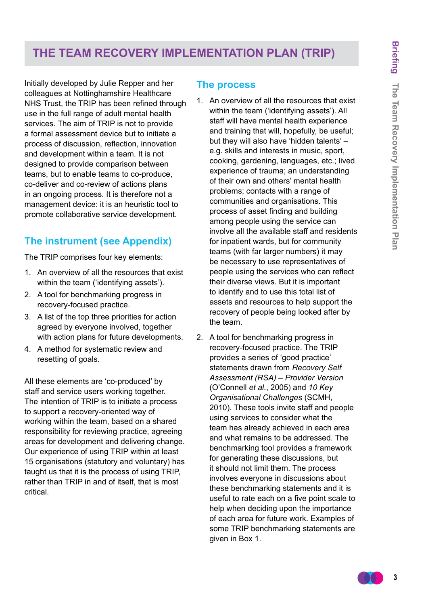## **The Team Recovery Implementation Plan (TRIP)**

Initially developed by Julie Repper and her colleagues at Nottinghamshire Healthcare NHS Trust, the TRIP has been refined through use in the full range of adult mental health services. The aim of TRIP is not to provide a formal assessment device but to initiate a process of discussion, reflection, innovation and development within a team. It is not designed to provide comparison between teams, but to enable teams to co-produce, co-deliver and co-review of actions plans in an ongoing process. It is therefore not a management device: it is an heuristic tool to promote collaborative service development.

#### **The instrument (see Appendix)**

The TRIP comprises four key elements:

- 1. An overview of all the resources that exist within the team ('identifying assets').
- 2. A tool for benchmarking progress in recovery-focused practice.
- 3. A list of the top three priorities for action agreed by everyone involved, together with action plans for future developments.
- 4. A method for systematic review and resetting of goals.

All these elements are 'co-produced' by staff and service users working together. The intention of TRIP is to initiate a process to support a recovery-oriented way of working within the team, based on a shared responsibility for reviewing practice, agreeing areas for development and delivering change. Our experience of using TRIP within at least 15 organisations (statutory and voluntary) has taught us that it is the process of using TRIP, rather than TRIP in and of itself, that is most critical.

#### **The process**

- 1. An overview of all the resources that exist within the team ('identifying assets'). All staff will have mental health experience and training that will, hopefully, be useful; but they will also have 'hidden talents' – e.g. skills and interests in music, sport, cooking, gardening, languages, etc.; lived experience of trauma; an understanding of their own and others' mental health problems; contacts with a range of communities and organisations. This process of asset finding and building among people using the service can involve all the available staff and residents for inpatient wards, but for community teams (with far larger numbers) it may be necessary to use representatives of people using the services who can reflect their diverse views. But it is important to identify and to use this total list of assets and resources to help support the recovery of people being looked after by the team.
- 2. A tool for benchmarking progress in recovery-focused practice. The TRIP provides a series of 'good practice' statements drawn from *Recovery Self Assessment (RSA) – Provider Version* (O'Connell *et al.*, 2005) and *10 Key Organisational Challenges* (SCMH, 2010). These tools invite staff and people using services to consider what the team has already achieved in each area and what remains to be addressed. The benchmarking tool provides a framework for generating these discussions, but it should not limit them. The process involves everyone in discussions about these benchmarking statements and it is useful to rate each on a five point scale to help when deciding upon the importance of each area for future work. Examples of some TRIP benchmarking statements are given in Box 1.

**3**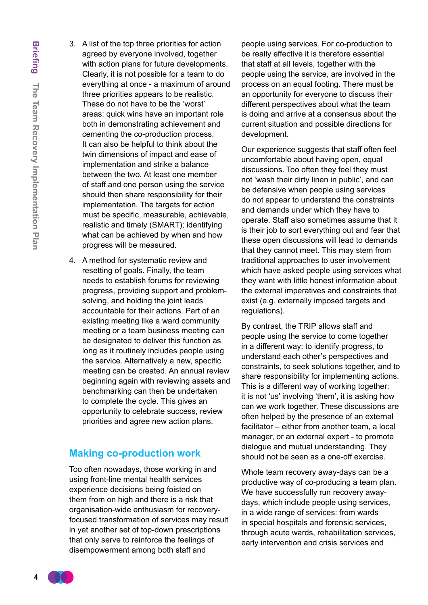- **Briefing** The Team Recovery Implementation Plan **The Team Recovery Implementation Plan**
- 3. A list of the top three priorities for action agreed by everyone involved, together with action plans for future developments. Clearly, it is not possible for a team to do everything at once - a maximum of around three priorities appears to be realistic. These do not have to be the 'worst' areas: quick wins have an important role both in demonstrating achievement and cementing the co-production process. It can also be helpful to think about the twin dimensions of impact and ease of implementation and strike a balance between the two. At least one member of staff and one person using the service should then share responsibility for their implementation. The targets for action must be specific, measurable, achievable, realistic and timely (SMART); identifying what can be achieved by when and how progress will be measured.
- 4. A method for systematic review and resetting of goals. Finally, the team needs to establish forums for reviewing progress, providing support and problemsolving, and holding the joint leads accountable for their actions. Part of an existing meeting like a ward community meeting or a team business meeting can be designated to deliver this function as long as it routinely includes people using the service. Alternatively a new, specific meeting can be created. An annual review beginning again with reviewing assets and benchmarking can then be undertaken to complete the cycle. This gives an opportunity to celebrate success, review priorities and agree new action plans.

#### **Making co-production work**

Too often nowadays, those working in and using front-line mental health services experience decisions being foisted on them from on high and there is a risk that organisation-wide enthusiasm for recoveryfocused transformation of services may result in yet another set of top-down prescriptions that only serve to reinforce the feelings of disempowerment among both staff and

people using services. For co-production to be really effective it is therefore essential that staff at all levels, together with the people using the service, are involved in the process on an equal footing. There must be an opportunity for everyone to discuss their different perspectives about what the team is doing and arrive at a consensus about the current situation and possible directions for development.

Our experience suggests that staff often feel uncomfortable about having open, equal discussions. Too often they feel they must not 'wash their dirty linen in public', and can be defensive when people using services do not appear to understand the constraints and demands under which they have to operate. Staff also sometimes assume that it is their job to sort everything out and fear that these open discussions will lead to demands that they cannot meet. This may stem from traditional approaches to user involvement which have asked people using services what they want with little honest information about the external imperatives and constraints that exist (e.g. externally imposed targets and regulations).

By contrast, the TRIP allows staff and people using the service to come together in a different way: to identify progress, to understand each other's perspectives and constraints, to seek solutions together, and to share responsibility for implementing actions. This is a different way of working together: it is not 'us' involving 'them', it is asking how can we work together. These discussions are often helped by the presence of an external facilitator – either from another team, a local manager, or an external expert - to promote dialogue and mutual understanding. They should not be seen as a one-off exercise.

Whole team recovery away-days can be a productive way of co-producing a team plan. We have successfully run recovery awaydays, which include people using services, in a wide range of services: from wards in special hospitals and forensic services, through acute wards, rehabilitation services, early intervention and crisis services and

**4**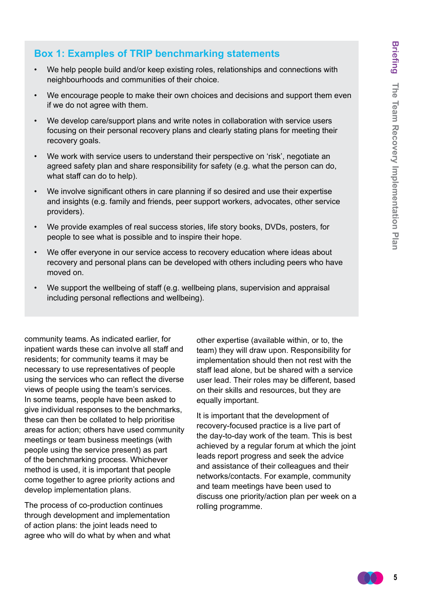#### **Box 1: Examples of TRIP benchmarking statements**

- We help people build and/or keep existing roles, relationships and connections with neighbourhoods and communities of their choice.
- We encourage people to make their own choices and decisions and support them even if we do not agree with them.
- We develop care/support plans and write notes in collaboration with service users focusing on their personal recovery plans and clearly stating plans for meeting their recovery goals.
- We work with service users to understand their perspective on 'risk', negotiate an agreed safety plan and share responsibility for safety (e.g. what the person can do, what staff can do to help).
- We involve significant others in care planning if so desired and use their expertise and insights (e.g. family and friends, peer support workers, advocates, other service providers).
- We provide examples of real success stories, life story books, DVDs, posters, for people to see what is possible and to inspire their hope.
- We offer everyone in our service access to recovery education where ideas about recovery and personal plans can be developed with others including peers who have moved on.
- We support the wellbeing of staff (e.g. wellbeing plans, supervision and appraisal including personal reflections and wellbeing).

community teams. As indicated earlier, for inpatient wards these can involve all staff and residents; for community teams it may be necessary to use representatives of people using the services who can reflect the diverse views of people using the team's services. In some teams, people have been asked to give individual responses to the benchmarks, these can then be collated to help prioritise areas for action; others have used community meetings or team business meetings (with people using the service present) as part of the benchmarking process. Whichever method is used, it is important that people come together to agree priority actions and develop implementation plans.

The process of co-production continues through development and implementation of action plans: the joint leads need to agree who will do what by when and what other expertise (available within, or to, the team) they will draw upon. Responsibility for implementation should then not rest with the staff lead alone, but be shared with a service user lead. Their roles may be different, based on their skills and resources, but they are equally important.

It is important that the development of recovery-focused practice is a live part of the day-to-day work of the team. This is best achieved by a regular forum at which the joint leads report progress and seek the advice and assistance of their colleagues and their networks/contacts. For example, community and team meetings have been used to discuss one priority/action plan per week on a rolling programme.

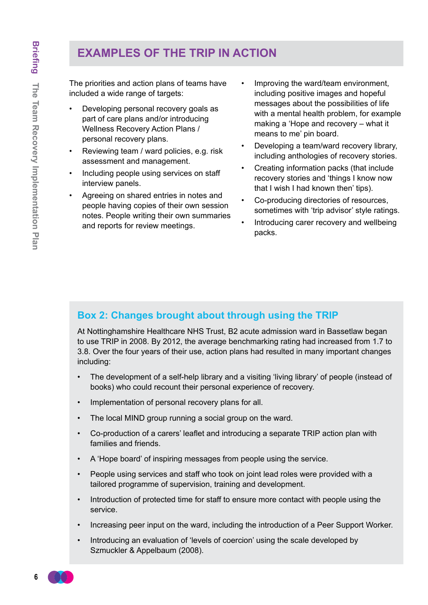# **Examples of the TRIP in Action**

The priorities and action plans of teams have included a wide range of targets:

- Developing personal recovery goals as part of care plans and/or introducing Wellness Recovery Action Plans / personal recovery plans.
- Reviewing team / ward policies, e.g. risk assessment and management.
- Including people using services on staff interview panels.
- Agreeing on shared entries in notes and people having copies of their own session notes. People writing their own summaries and reports for review meetings.
- Improving the ward/team environment, including positive images and hopeful messages about the possibilities of life with a mental health problem, for example making a 'Hope and recovery – what it means to me' pin board.
- Developing a team/ward recovery library, including anthologies of recovery stories.
- Creating information packs (that include recovery stories and 'things I know now that I wish I had known then' tips).
- Co-producing directories of resources, sometimes with 'trip advisor' style ratings.
- Introducing carer recovery and wellbeing packs.

#### **Box 2: Changes brought about through using the TRIP**

At Nottinghamshire Healthcare NHS Trust, B2 acute admission ward in Bassetlaw began to use TRIP in 2008. By 2012, the average benchmarking rating had increased from 1.7 to 3.8. Over the four years of their use, action plans had resulted in many important changes including:

- The development of a self-help library and a visiting 'living library' of people (instead of books) who could recount their personal experience of recovery.
- • Implementation of personal recovery plans for all.
- The local MIND group running a social group on the ward.
- • Co-production of a carers' leaflet and introducing a separate TRIP action plan with families and friends.
- A 'Hope board' of inspiring messages from people using the service.
- People using services and staff who took on joint lead roles were provided with a tailored programme of supervision, training and development.
- • Introduction of protected time for staff to ensure more contact with people using the service.
- Increasing peer input on the ward, including the introduction of a Peer Support Worker.
- Introducing an evaluation of 'levels of coercion' using the scale developed by Szmuckler & Appelbaum (2008).

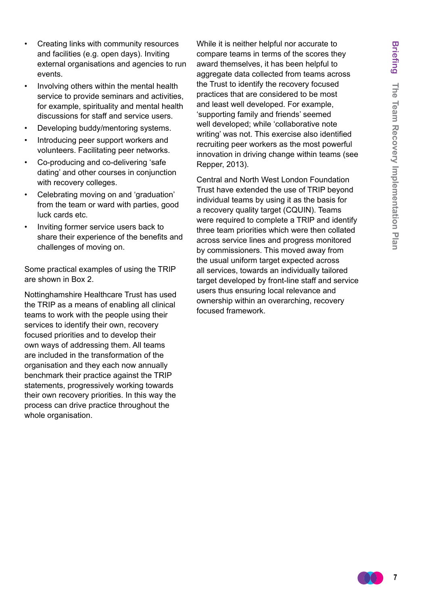- Creating links with community resources and facilities (e.g. open days). Inviting external organisations and agencies to run events.
- Involving others within the mental health service to provide seminars and activities, for example, spirituality and mental health discussions for staff and service users.
- Developing buddy/mentoring systems.
- Introducing peer support workers and volunteers. Facilitating peer networks.
- Co-producing and co-delivering 'safe dating' and other courses in conjunction with recovery colleges.
- Celebrating moving on and 'graduation' from the team or ward with parties, good luck cards etc.
- Inviting former service users back to share their experience of the benefits and challenges of moving on.

Some practical examples of using the TRIP are shown in Box 2.

Nottinghamshire Healthcare Trust has used the TRIP as a means of enabling all clinical teams to work with the people using their services to identify their own, recovery focused priorities and to develop their own ways of addressing them. All teams are included in the transformation of the organisation and they each now annually benchmark their practice against the TRIP statements, progressively working towards their own recovery priorities. In this way the process can drive practice throughout the whole organisation.

While it is neither helpful nor accurate to compare teams in terms of the scores they award themselves, it has been helpful to aggregate data collected from teams across the Trust to identify the recovery focused practices that are considered to be most and least well developed. For example, 'supporting family and friends' seemed well developed; while 'collaborative note writing' was not. This exercise also identified recruiting peer workers as the most powerful innovation in driving change within teams (see Repper, 2013).

Central and North West London Foundation Trust have extended the use of TRIP beyond individual teams by using it as the basis for a recovery quality target (CQUIN). Teams were required to complete a TRIP and identify three team priorities which were then collated across service lines and progress monitored by commissioners. This moved away from the usual uniform target expected across all services, towards an individually tailored target developed by front-line staff and service users thus ensuring local relevance and ownership within an overarching, recovery focused framework.

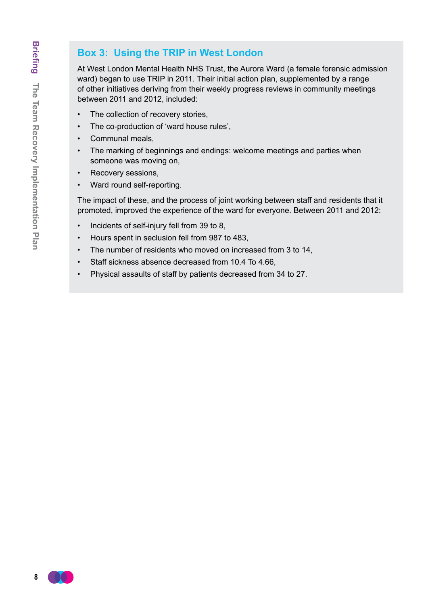#### **Box 3: Using the TRIP in West London**

At West London Mental Health NHS Trust, the Aurora Ward (a female forensic admission ward) began to use TRIP in 2011. Their initial action plan, supplemented by a range of other initiatives deriving from their weekly progress reviews in community meetings between 2011 and 2012, included:

- • The collection of recovery stories,
- • The co-production of 'ward house rules',
- • Communal meals,
- The marking of beginnings and endings: welcome meetings and parties when someone was moving on,
- • Recovery sessions,
- Ward round self-reporting.

The impact of these, and the process of joint working between staff and residents that it promoted, improved the experience of the ward for everyone. Between 2011 and 2012:

- • Incidents of self-injury fell from 39 to 8,
- • Hours spent in seclusion fell from 987 to 483,
- The number of residents who moved on increased from 3 to 14,
- • Staff sickness absence decreased from 10.4 To 4.66,
- Physical assaults of staff by patients decreased from 34 to 27.

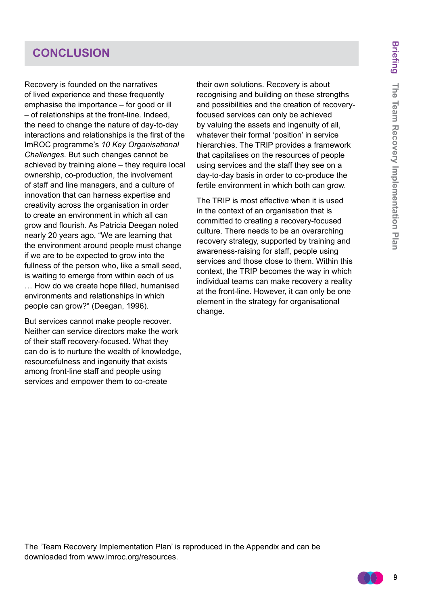## **conclusion**

Recovery is founded on the narratives of lived experience and these frequently emphasise the importance – for good or ill – of relationships at the front-line. Indeed, the need to change the nature of day-to-day interactions and relationships is the first of the ImROC programme's *10 Key Organisational Challenges*. But such changes cannot be achieved by training alone – they require local ownership, co-production, the involvement of staff and line managers, and a culture of innovation that can harness expertise and creativity across the organisation in order to create an environment in which all can grow and flourish. As Patricia Deegan noted nearly 20 years ago, "We are learning that the environment around people must change if we are to be expected to grow into the fullness of the person who, like a small seed, is waiting to emerge from within each of us … How do we create hope filled, humanised environments and relationships in which people can grow?" (Deegan, 1996).

But services cannot make people recover. Neither can service directors make the work of their staff recovery-focused. What they can do is to nurture the wealth of knowledge, resourcefulness and ingenuity that exists among front-line staff and people using services and empower them to co-create

their own solutions. Recovery is about recognising and building on these strengths and possibilities and the creation of recoveryfocused services can only be achieved by valuing the assets and ingenuity of all, whatever their formal 'position' in service hierarchies. The TRIP provides a framework that capitalises on the resources of people using services and the staff they see on a day-to-day basis in order to co-produce the fertile environment in which both can grow.

The TRIP is most effective when it is used in the context of an organisation that is committed to creating a recovery-focused culture. There needs to be an overarching recovery strategy, supported by training and awareness-raising for staff, people using services and those close to them. Within this context, the TRIP becomes the way in which individual teams can make recovery a reality at the front-line. However, it can only be one element in the strategy for organisational change.

The 'Team Recovery Implementation Plan' is reproduced in the Appendix and can be downloaded from www.imroc.org/resources.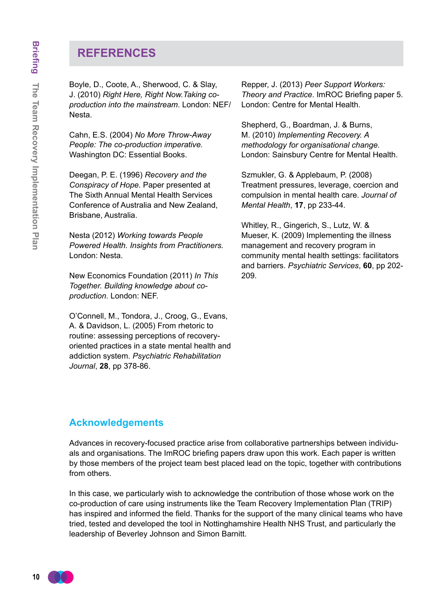#### **References**

Boyle, D., Coote, A., Sherwood, C. & Slay, J. (2010) *Right Here, Right Now.Taking coproduction into the mainstream*. London: NEF/ Nesta.

Cahn, E.S. (2004) *No More Throw-Away People: The co-production imperative.* Washington DC: Essential Books.

Deegan, P. E. (1996) *Recovery and the Conspiracy of Hope.* Paper presented at The Sixth Annual Mental Health Services Conference of Australia and New Zealand, Brisbane, Australia.

Nesta (2012) *Working towards People Powered Health. Insights from Practitioners.* London: Nesta.

New Economics Foundation (2011) *In This Together. Building knowledge about coproduction*. London: NEF.

O'Connell, M., Tondora, J., Croog, G., Evans, A. & Davidson, L. (2005) From rhetoric to routine: assessing perceptions of recoveryoriented practices in a state mental health and addiction system. *Psychiatric Rehabilitation Journal*, **28**, pp 378-86.

Repper, J. (2013) *Peer Support Workers: Theory and Practice*. ImROC Briefing paper 5. London: Centre for Mental Health.

Shepherd, G., Boardman, J. & Burns, M. (2010) *Implementing Recovery. A methodology for organisational change.* London: Sainsbury Centre for Mental Health.

Szmukler, G. & Applebaum, P. (2008) Treatment pressures, leverage, coercion and compulsion in mental health care. *Journal of Mental Health*, **17**, pp 233-44.

Whitley, R., Gingerich, S., Lutz, W. & Mueser, K. (2009) Implementing the illness management and recovery program in community mental health settings: facilitators and barriers. *Psychiatric Services*, **60**, pp 202- 209.

#### **Acknowledgements**

Advances in recovery-focused practice arise from collaborative partnerships between individuals and organisations. The ImROC briefing papers draw upon this work. Each paper is written by those members of the project team best placed lead on the topic, together with contributions from others.

In this case, we particularly wish to acknowledge the contribution of those whose work on the co-production of care using instruments like the Team Recovery Implementation Plan (TRIP) has inspired and informed the field. Thanks for the support of the many clinical teams who have tried, tested and developed the tool in Nottinghamshire Health NHS Trust, and particularly the leadership of Beverley Johnson and Simon Barnitt.

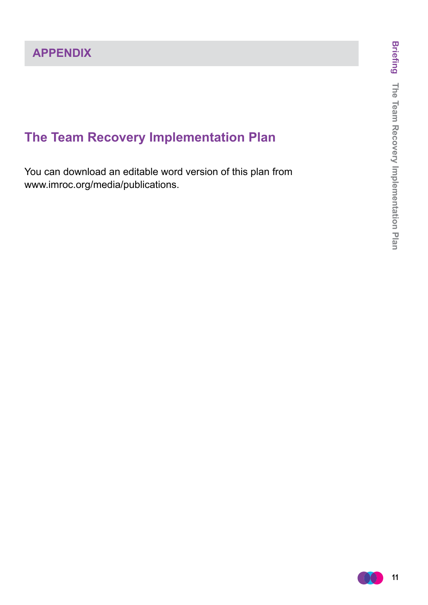# **The Team Recovery Implementation Plan**

You can download an editable word version of this plan from www.imroc.org/media/publications.